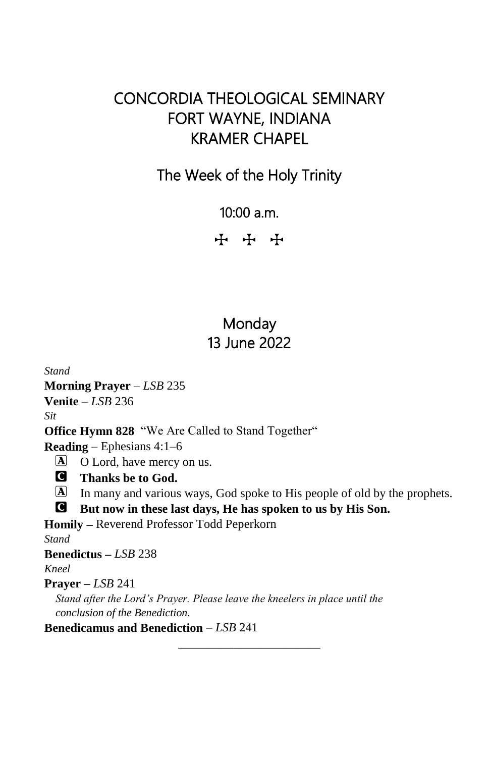## CONCORDIA THEOLOGICAL SEMINARY FORT WAYNE, INDIANA KRAMER CHAPEL

#### The Week of the Holy Trinity

10:00 a.m.

+ + +

#### Monday 13 June 2022

*Stand* **Morning Prayer** – *LSB* 235 **Venite** – *LSB* 236 *Sit* **Office Hymn 828** "We Are Called to Stand Together" **Reading** – Ephesians 4:1–6 A O Lord, have mercy on us. C **Thanks be to God.** A In many and various ways, God spoke to His people of old by the prophets. C **But now in these last days, He has spoken to us by His Son. Homily –** Reverend Professor Todd Peperkorn *Stand* **Benedictus –** *LSB* 238 *Kneel* **Prayer –** *LSB* 241 *Stand after the Lord's Prayer. Please leave the kneelers in place until the conclusion of the Benediction.* **Benedicamus and Benediction** – *LSB* 241

\_\_\_\_\_\_\_\_\_\_\_\_\_\_\_\_\_\_\_\_\_\_\_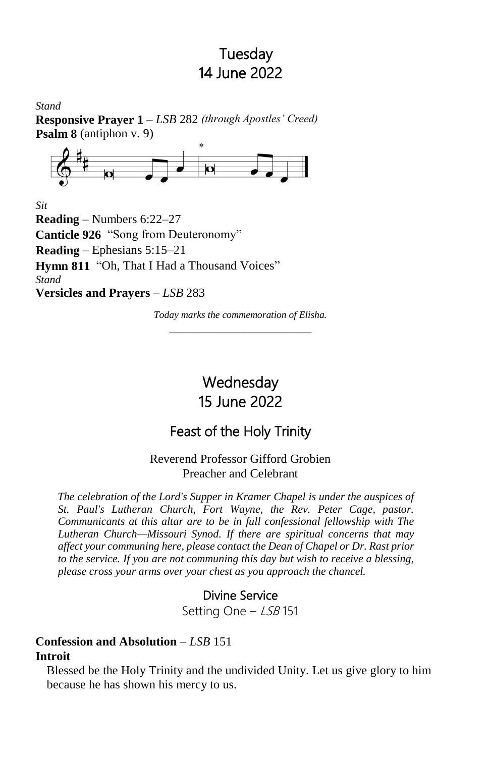#### Tuesday 14 June 2022

*Stand* **Responsive Prayer 1 –** *LSB* 282 *(through Apostles' Creed)* **Psalm 8** (antiphon v. 9)



*Sit*

**Reading** – Numbers 6:22–27 **Canticle 926** "Song from Deuteronomy" **Reading** – Ephesians 5:15–21 **Hymn 811** "Oh, That I Had a Thousand Voices" *Stand* **Versicles and Prayers** – *LSB* 283

> *Today marks the commemoration of Elisha.* \_\_\_\_\_\_\_\_\_\_\_\_\_\_\_\_\_\_\_\_\_\_\_

# **Wednesday** 15 June 2022

## Feast of the Holy Trinity

Reverend Professor Gifford Grobien Preacher and Celebrant

*The celebration of the Lord's Supper in Kramer Chapel is under the auspices of St. Paul's Lutheran Church, Fort Wayne, the Rev. Peter Cage, pastor. Communicants at this altar are to be in full confessional fellowship with The Lutheran Church—Missouri Synod. If there are spiritual concerns that may affect your communing here, please contact the Dean of Chapel or Dr. Rast prior to the service. If you are not communing this day but wish to receive a blessing, please cross your arms over your chest as you approach the chancel.*

#### Divine Service

Setting One - LSB 151

#### **Confession and Absolution** – *LSB* 151 **Introit**

Blessed be the Holy Trinity and the undivided Unity. Let us give glory to him because he has shown his mercy to us.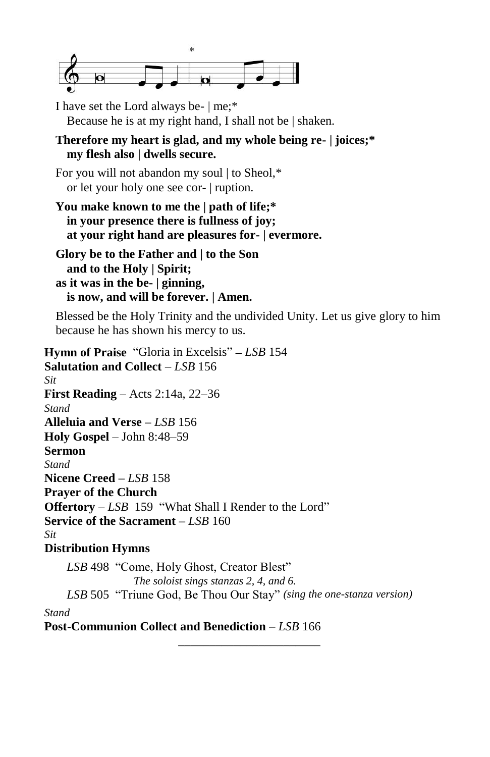

I have set the Lord always be- | me;\* Because he is at my right hand, I shall not be | shaken.

**Therefore my heart is glad, and my whole being re- | joices;\* my flesh also | dwells secure.**

For you will not abandon my soul | to Sheol.\* or let your holy one see cor- | ruption.

**You make known to me the | path of life;\* in your presence there is fullness of joy; at your right hand are pleasures for- | evermore.**

**Glory be to the Father and | to the Son and to the Holy | Spirit; as it was in the be- | ginning, is now, and will be forever. | Amen.**

Blessed be the Holy Trinity and the undivided Unity. Let us give glory to him because he has shown his mercy to us.

**Hymn of Praise** "Gloria in Excelsis" **–** *LSB* 154 **Salutation and Collect** – *LSB* 156 *Sit* **First Reading** – Acts 2:14a, 22–36 *Stand* **Alleluia and Verse –** *LSB* 156 **Holy Gospel** – John 8:48–59 **Sermon** *Stand* **Nicene Creed –** *LSB* 158 **Prayer of the Church Offertory** – *LSB* 159 "What Shall I Render to the Lord" **Service of the Sacrament –** *LSB* 160 *Sit* **Distribution Hymns**

*LSB* 498 "Come, Holy Ghost, Creator Blest" *The soloist sings stanzas 2, 4, and 6. LSB* 505 "Triune God, Be Thou Our Stay" *(sing the one-stanza version) Stand*

\_\_\_\_\_\_\_\_\_\_\_\_\_\_\_\_\_\_\_\_\_\_\_

**Post-Communion Collect and Benediction** – *LSB* 166